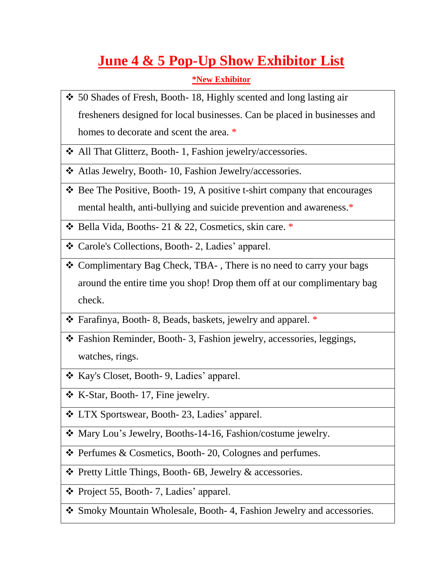## **June 4 & 5 Pop-Up Show Exhibitor List**

## **\*New Exhibitor**

- 50 Shades of Fresh, Booth- 18, Highly scented and long lasting air fresheners designed for local businesses. Can be placed in businesses and homes to decorate and scent the area.  $*$
- All That Glitterz, Booth- 1, Fashion jewelry/accessories.
- Atlas Jewelry, Booth- 10, Fashion Jewelry/accessories.
- $\triangle$  Bee The Positive, Booth- 19, A positive t-shirt company that encourages mental health, anti-bullying and suicide prevention and awareness.\*
- Bella Vida, Booths- 21 & 22, Cosmetics, skin care. \*
- Carole's Collections, Booth- 2, Ladies' apparel.
- \* Complimentary Bag Check, TBA-, There is no need to carry your bags around the entire time you shop! Drop them off at our complimentary bag check.
- Farafinya, Booth- 8, Beads, baskets, jewelry and apparel. \*
- Fashion Reminder, Booth- 3, Fashion jewelry, accessories, leggings, watches, rings.
- Kay's Closet, Booth- 9, Ladies' apparel.
- K-Star, Booth- 17, Fine jewelry.
- LTX Sportswear, Booth- 23, Ladies' apparel.
- Mary Lou's Jewelry, Booths-14-16, Fashion/costume jewelry.
- $\triangle$  Perfumes & Cosmetics, Booth- 20, Colognes and perfumes.
- Pretty Little Things, Booth- 6B, Jewelry & accessories.
- Project 55, Booth- 7, Ladies' apparel.
- Smoky Mountain Wholesale, Booth- 4, Fashion Jewelry and accessories.